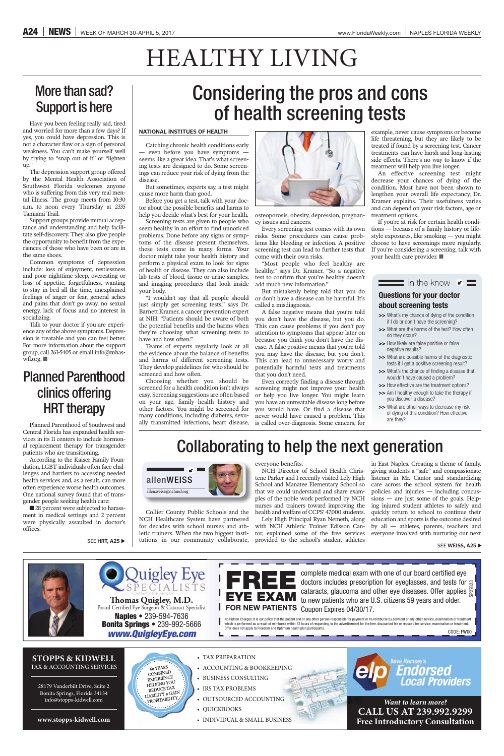**www.stopps-kidwell.com** 

COMBINED EXPERIENCE HELPING YOU REDUCE TAX REDUCE IAA ROFITABILITY

**STOPPS & KIDWELL** TAX & ACCOUNTING SERVICES

28179 Vanderbilt Drive, Suite 2 Bonita Springs, Florida 34134 info@stopps-kidwell.com

## **EYE EXAM FOR NEW PATIENTS** Coupon Expires 04/30/17.

COLORIZE **EXAM** discussion and other eye diseases. Offer applies and thests for applies and tests for applies to the content of the patients who are U.S. citizens 59 years and older.<br>
FOR NEW PATIENTS Coupon Expires 04/30/ complete medical exam with one of our board certified eye doctors includes prescription for eyeglasses, and tests for g cataracts, glaucoma and other eye diseases. Offer applies  $\approx$ to new patients who are U.S. citizens 59 years and older.

• TAX PREPARATION

L

- ACCOUNTING & BOOKKEEPING
- BUSINESS CONSULTING
- IRS TAX PROBLEMS
- $\bullet$  OUTSOURCED ACCOUNTING
- QUICKBOOKS
- INDIVIDUAL & SMALL BUSINESS

ve Ramsey's Endorsed **Providers** 

*Want to learn more?* **CALL US AT 239.992.9299 Free Introductory Consultation**





*www.QuigleyEye.com* **Naples • 239-594-7636 Bonita Springs • 239-992-5666 Thomas Quigley, M.D.** Board Certified Eye Surgeon & Cataract Specialist

60 YEARS

### Collaborating to help the next generation

Collier County Public Schools and the NCH Healthcare System have partnered for decades with school nurses and athletic trainers. When the two biggest institutions in our community collaborate, everyone benefits.

NCH Director of School Health Christene Parker and I recently visited Lely High School and Manatee Elementary School so that we could understand and share examples of the noble work performed by NCH nurses and trainers toward improving the health and welfare of CCPS' 47,000 students.

Lely High Principal Ryan Nemeth, along with NCH Athletic Trainer Edisson Cantor, explained some of the free services provided to the school's student athletes

■ 28 percent were subjected to harassment in medical settings and 2 percent were physically assaulted in doctor's offices.

in East Naples. Creating a theme of family, giving students a "safe" and compassionate listener in Mr. Cantor and standardizing care across the school system for health policies and injuries — including concussions — are just some of the goals. Helping injured student athletes to safely and quickly return to school to continue their education and sports is the outcome desired by all — athletes, parents, teachers and everyone involved with nurturing our next

### More than sad? Support is here

Have you been feeling really sad, tired and worried for more than a few days? If yes, you could have depression. This is not a character flaw or a sign of personal weakness. You can't make yourself well by trying to "snap out of it" or "lighten up."

The depression support group offered by the Mental Health Association of Southwest Florida welcomes anyone who is suffering from this very real mental illness. The group meets from 10:30 a.m. to noon every Thursday at 2335 Tamiami Trail.

Support groups provide mutual acceptance and understanding and help facilitate self-discovery. They also give people the opportunity to benefit from the experiences of those who have been or are in the same shoes.

Common symptoms of depression include: loss of enjoyment, restlessness and poor nighttime sleep, overeating or loss of appetite, forgetfulness, wanting to stay in bed all the time, unexplained feelings of anger or fear, general aches and pains that don't go away, no sexual energy, lack of focus and no interest in socializing.

Talk to your doctor if you are experience any of the above symptoms. Depression is treatable and you can feel better. For more information about the support group, call 261-5405 or email info@mhaswfl.org. ■

### Planned Parenthood clinics offering HRT therapy

Planned Parenthood of Southwest and Central Florida has expanded health services in its 11 centers to include hormonal replacement therapy for transgender patients who are transitioning.

According to the Kaiser Family Foundation, LGBT individuals often face challenges and barriers to accessing needed health services and, as a result, can more often experience worse health outcomes. One national survey found that of transgender people seeking health care:

# HEALTHY LIVING

## Considering the pros and cons of health screening tests

#### **NATIONAL INSTITUES OF HEALTH**

Catching chronic health conditions early - even before you have symptoms seems like a great idea. That's what screening tests are designed to do. Some screenings can reduce your risk of dying from the disease.

But sometimes, experts say, a test might cause more harm than good.

Before you get a test, talk with your doctor about the possible benefits and harms to help you decide what's best for your health.

Screening tests are given to people who seem healthy in an effort to find unnoticed problems. Done before any signs or symptoms of the disease present themselves, these tests come in many forms. Your doctor might take your health history and perform a physical exam to look for signs of health or disease. They can also include lab tests of blood, tissue or urine samples, and imaging procedures that look inside your body.

"I wouldn't say that all people should just simply get screening tests," says Dr. Barnett Kramer, a cancer prevention expert at NIH. "Patients should be aware of both the potential benefits and the harms when they're choosing what screening tests to have and how often."

Teams of experts regularly look at all the evidence about the balance of benefits and harms of different screening tests. They develop guidelines for who should be screened and how often.

Choosing whether you should be screened for a health condition isn't always easy. Screening suggestions are often based on your age, family health history and other factors. You might be screened for many conditions, including diabetes, sexually transmitted infections, heart disease,



osteoporosis, obesity, depression, pregnancy issues and cancers.

Every screening test comes with its own risks. Some procedures can cause problems like bleeding or infection. A positive screening test can lead to further tests that come with their own risks.

"Most people who feel healthy are healthy," says Dr. Kramer. "So a negative test to confirm that you're healthy doesn't add much new information."

But mistakenly being told that you do or don't have a disease can be harmful. It's called a misdiagnosis.

A false negative means that you're told you don't have the disease, but you do. This can cause problems if you don't pay attention to symptoms that appear later on because you think you don't have the disease. A false positive means that you're told you may have the disease, but you don't. This can lead to unnecessary worry and potentially harmful tests and treatments that you don't need.

Even correctly finding a disease through screening might not improve your health or help you live longer. You might learn you have an untreatable disease long before you would have. Or find a disease that never would have caused a problem. This is called over-diagnosis. Some cancers, for

example, never cause symptoms or become life threatening, but they are likely to be treated if found by a screening test. Cancer treatments can have harsh and long-lasting side effects. There's no way to know if the treatment will help you live longer.

An effective screening test might decrease your chances of dying of the condition. Most have not been shown to lengthen your overall life expectancy, Dr. Kramer explains. Their usefulness varies and can depend on your risk factors, age or treatment options.

If you're at risk for certain health conditions — because of a family history or lifestyle exposures, like smoking — you might choose to have screenings more regularly. If you're considering a screening, talk with your health care provider. ■

### **Questions for your doctor about screening tests**

**>>** What's my chance of dying of the condition if I do or don't have the screening?

 $\equiv$  in the know  $\leq$ 

- **>>** What are the harms of the test? How often do they occur?
- **>>** How likely are false positive or false negative results?
- **>>** What are possible harms of the diagnostic tests if I get a positive screening result?
- >> What's the chance of finding a disease that wouldn't have caused a problem?
- **>>** How effective are the treatment options?
- **>>** Am I healthy enough to take the therapy if you discover a disease?
- **>>** What are other ways to decrease my risk of dying of this condition? How effective are they?



SEE **WEISS, A25** 

SEE **HRT, A25**